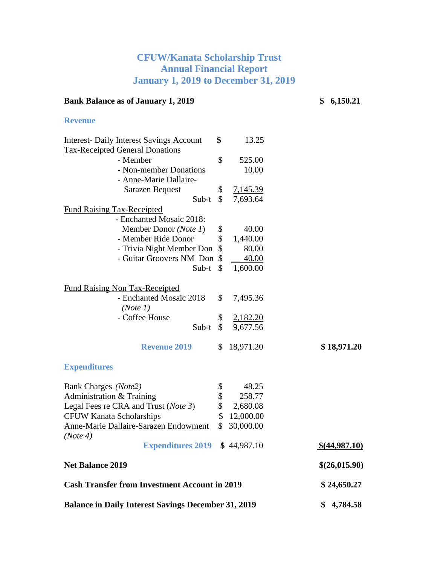# **CFUW/Kanata Scholarship Trust Annual Financial Report January 1, 2019 to December 31, 2019**

## **Bank Balance as of January 1, 2019 \$ 6,150.21**

### **Revenue**

| <b>Interest- Daily Interest Savings Account</b>            | \$           | 13.25           |                |
|------------------------------------------------------------|--------------|-----------------|----------------|
| <b>Tax-Receipted General Donations</b>                     |              |                 |                |
| - Member                                                   | \$           | 525.00          |                |
| - Non-member Donations                                     |              | 10.00           |                |
| - Anne-Marie Dallaire-                                     |              |                 |                |
| <b>Sarazen Bequest</b>                                     | \$           | <u>7,145.39</u> |                |
| Sub-t                                                      | $\mathbb{S}$ | 7,693.64        |                |
| <b>Fund Raising Tax-Receipted</b>                          |              |                 |                |
| - Enchanted Mosaic 2018:                                   |              |                 |                |
| Member Donor (Note 1)                                      | \$           | 40.00           |                |
| - Member Ride Donor                                        | \$           | 1,440.00        |                |
| - Trivia Night Member Don                                  | \$           | 80.00           |                |
| - Guitar Groovers NM Don                                   | \$           | 40.00           |                |
| Sub-t                                                      | $\mathbb{S}$ | 1,600.00        |                |
|                                                            |              |                 |                |
| <b>Fund Raising Non Tax-Receipted</b>                      |              |                 |                |
| - Enchanted Mosaic 2018                                    | \$           | 7,495.36        |                |
| (Note 1)                                                   |              |                 |                |
| - Coffee House                                             | \$           | <u>2,182.20</u> |                |
| Sub-t                                                      | \$           | 9,677.56        |                |
|                                                            |              |                 |                |
| <b>Revenue 2019</b>                                        | S.           | 18,971.20       | \$18,971.20    |
|                                                            |              |                 |                |
| <b>Expenditures</b>                                        |              |                 |                |
|                                                            |              |                 |                |
| Bank Charges (Note2)                                       | \$           | 48.25           |                |
|                                                            | \$           | 258.77          |                |
| Administration & Training                                  | \$           |                 |                |
| Legal Fees re CRA and Trust (Note 3)                       |              | 2,680.08        |                |
| <b>CFUW Kanata Scholarships</b>                            |              | \$12,000.00     |                |
| Anne-Marie Dallaire-Sarazen Endowment                      | \$           | 30,000.00       |                |
| (Note 4)                                                   |              |                 |                |
| <b>Expenditures 2019</b>                                   |              | \$44,987.10     | \$(44,987.10)  |
|                                                            |              |                 |                |
| <b>Net Balance 2019</b>                                    |              |                 | \$(26,015.90)  |
| <b>Cash Transfer from Investment Account in 2019</b>       |              |                 |                |
|                                                            |              |                 | \$24,650.27    |
| <b>Balance in Daily Interest Savings December 31, 2019</b> |              |                 | \$<br>4,784.58 |
|                                                            |              |                 |                |